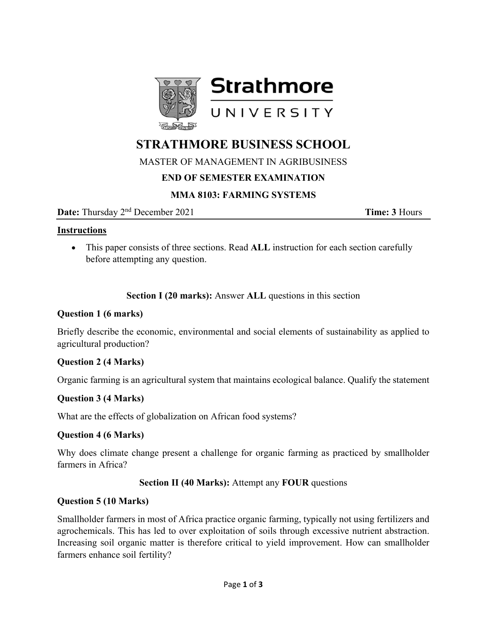

# **STRATHMORE BUSINESS SCHOOL**

MASTER OF MANAGEMENT IN AGRIBUSINESS

# **END OF SEMESTER EXAMINATION**

# **MMA 8103: FARMING SYSTEMS**

**Date:** Thursday  $2^{nd}$  December 2021 **Time: 3** Hours

#### **Instructions**

 This paper consists of three sections. Read **ALL** instruction for each section carefully before attempting any question.

**Section I (20 marks):** Answer **ALL** questions in this section

#### **Question 1 (6 marks)**

Briefly describe the economic, environmental and social elements of sustainability as applied to agricultural production?

## **Question 2 (4 Marks)**

Organic farming is an agricultural system that maintains ecological balance. Qualify the statement

## **Question 3 (4 Marks)**

What are the effects of globalization on African food systems?

## **Question 4 (6 Marks)**

Why does climate change present a challenge for organic farming as practiced by smallholder farmers in Africa?

## **Section II (40 Marks):** Attempt any **FOUR** questions

## **Question 5 (10 Marks)**

Smallholder farmers in most of Africa practice organic farming, typically not using fertilizers and agrochemicals. This has led to over exploitation of soils through excessive nutrient abstraction. Increasing soil organic matter is therefore critical to yield improvement. How can smallholder farmers enhance soil fertility?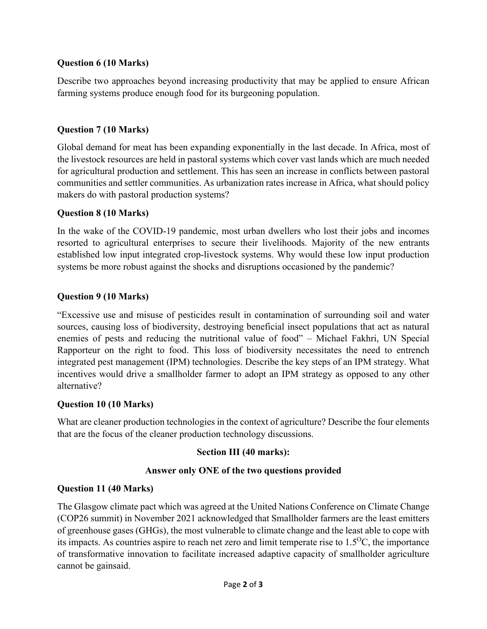## **Question 6 (10 Marks)**

Describe two approaches beyond increasing productivity that may be applied to ensure African farming systems produce enough food for its burgeoning population.

## **Question 7 (10 Marks)**

Global demand for meat has been expanding exponentially in the last decade. In Africa, most of the livestock resources are held in pastoral systems which cover vast lands which are much needed for agricultural production and settlement. This has seen an increase in conflicts between pastoral communities and settler communities. As urbanization rates increase in Africa, what should policy makers do with pastoral production systems?

## **Question 8 (10 Marks)**

In the wake of the COVID-19 pandemic, most urban dwellers who lost their jobs and incomes resorted to agricultural enterprises to secure their livelihoods. Majority of the new entrants established low input integrated crop-livestock systems. Why would these low input production systems be more robust against the shocks and disruptions occasioned by the pandemic?

## **Question 9 (10 Marks)**

"Excessive use and misuse of pesticides result in contamination of surrounding soil and water sources, causing loss of biodiversity, destroying beneficial insect populations that act as natural enemies of pests and reducing the nutritional value of food" – Michael Fakhri, UN Special Rapporteur on the right to food. This loss of biodiversity necessitates the need to entrench integrated pest management (IPM) technologies. Describe the key steps of an IPM strategy. What incentives would drive a smallholder farmer to adopt an IPM strategy as opposed to any other alternative?

## **Question 10 (10 Marks)**

What are cleaner production technologies in the context of agriculture? Describe the four elements that are the focus of the cleaner production technology discussions.

# **Section III (40 marks):**

## **Answer only ONE of the two questions provided**

## **Question 11 (40 Marks)**

The Glasgow climate pact which was agreed at the United Nations Conference on Climate Change (COP26 summit) in November 2021 acknowledged that Smallholder farmers are the least emitters of greenhouse gases (GHGs), the most vulnerable to climate change and the least able to cope with its impacts. As countries aspire to reach net zero and limit temperate rise to  $1.5\text{°C}$ , the importance of transformative innovation to facilitate increased adaptive capacity of smallholder agriculture cannot be gainsaid.